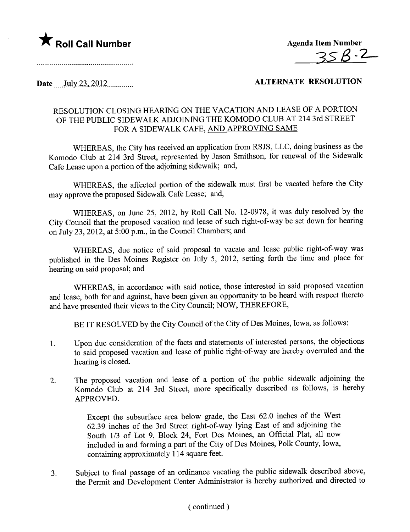



## Date \_\_\_\_)llly)~,\_2'OJ~..\_\_\_\_\_\_\_\_\_.. ALTERNATE RESOLUTION

## RESOLUTION CLOSING HEARING ON THE VACATION AND LEASE OF A PORTION OF THE PUBLIC SIDEWALK ADJOINING THE KOMODO CLUB AT 214 3rd STREET FOR A SIDEWALK CAFE, AND APPROVING SAME

WHEREAS, the City has received an application from RSJS, LLC, doing business as the Komodo Club at 214 3rd Street, represented by Jason Smithson, for renewal of the Sidewalk Cafe Lease upon a portion of the adjoining sidewalk; and,

WHEREAS, the affected portion of the sidewalk must first be vacated before the City may approve the proposed Sidewalk Cafe Lease; and,

WHEREAS, on June 25, 2012, by Roll Call No. 12-0978, it was duly resolved by the City Council that the proposed vacation and lease of such right-of-way be set down for hearing on July 23,2012, at 5:00 p.m., in the Council Chambers; and

WHEREAS, due notice of said proposal to vacate and lease public right-of-way was published in the Des Moines Register on July 5, 2012, setting forth the time and place for hearing on said proposal; and

WHEREAS, in accordance with said notice, those interested in said proposed vacation and lease, both for and against, have been given an opportunity to be heard with respect thereto and have presented their views to the City Council; NOW, THEREFORE,

BE IT RESOLVED by the City Council of the City of Des Moines, Iowa, as follows:

- 1. Upon due consideration of the facts and statements of interested persons, the objections to said proposed vacation and lease of public right-of-way are hereby overruled and the hearing is closed.
- 2. The proposed vacation and lease of a portion of the public sidewalk adjoining the Komodo Club at 214 3rd Street, more specifically described as follows, is hereby APPROVED.

Except the subsurface area below grade, the East 62.0 inches of the West 62.39 inches of the 3rd Street right-of-way lying East of and adjoining the South 1/3 of Lot 9, Block 24, Fort Des Moines, an Official Plat, all now included in and forming a part of the City of Des Moines, Polk County, Iowa, containing approximately 114 square feet.

3. Subject to final passage of an ordinance vacating the public sidewalk described above, the Permit and Development Center Administrator is hereby authorized and directed to